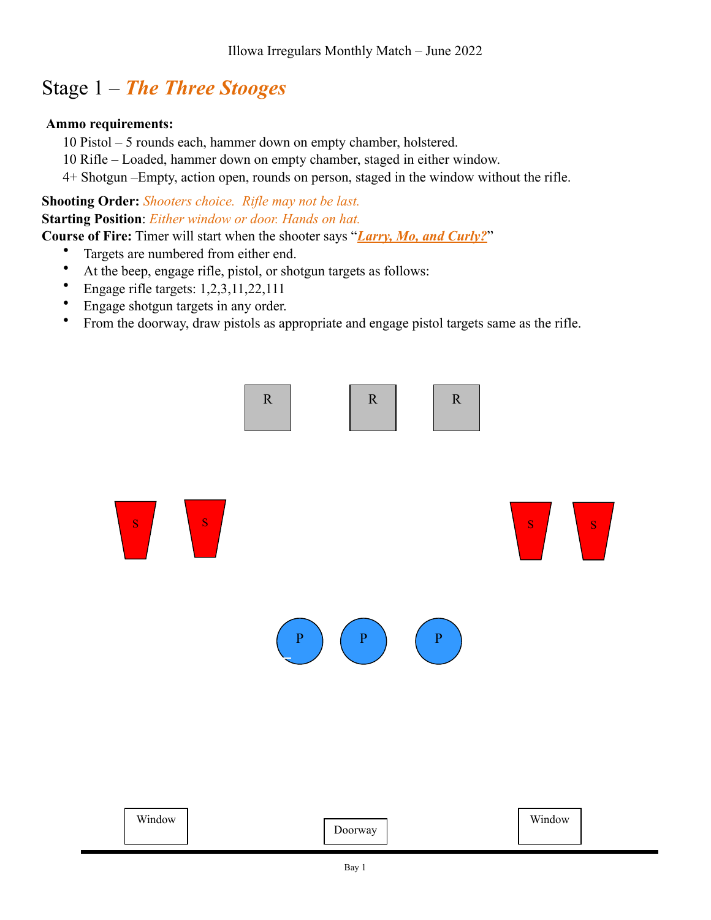# Stage 1 – *The Three Stooges*

### **Ammo requirements:**

- 10 Pistol 5 rounds each, hammer down on empty chamber, holstered.
- 10 Rifle Loaded, hammer down on empty chamber, staged in either window.
- 4+ Shotgun –Empty, action open, rounds on person, staged in the window without the rifle.

### **Shooting Order:** *Shooters choice. Rifle may not be last.* **Starting Position**: *Either window or door. Hands on hat.*

**Course of Fire:** Timer will start when the shooter says "*Larry, Mo, and Curly?*"

- Targets are numbered from either end.
- At the beep, engage rifle, pistol, or shotgun targets as follows:
- Engage rifle targets: 1,2,3,11,22,111
- Engage shotgun targets in any order.
- From the doorway, draw pistols as appropriate and engage pistol targets same as the rifle.

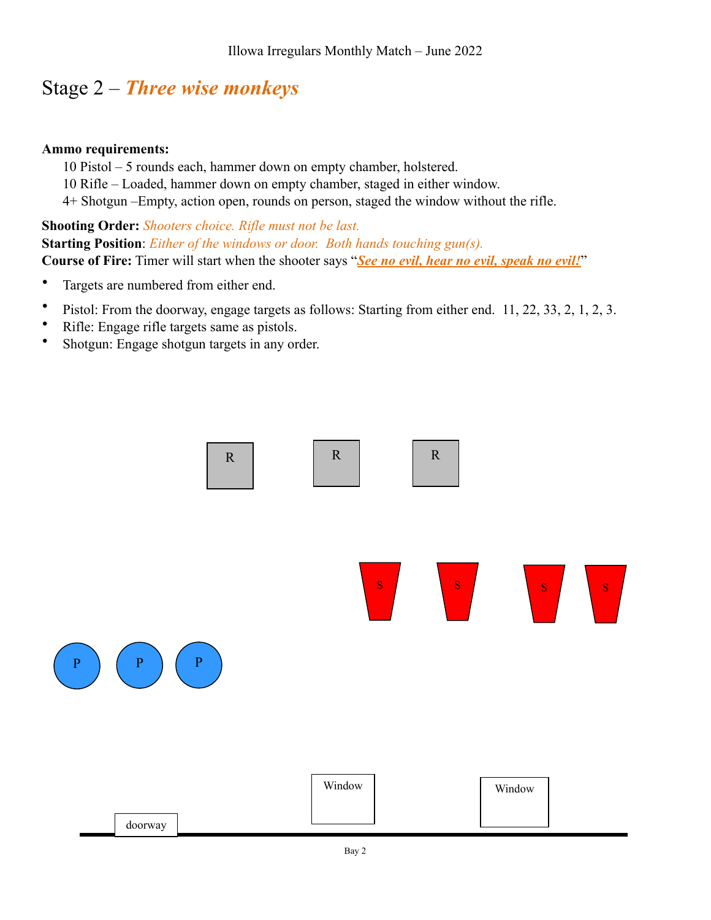# Stage 2 – *Three wise monkeys*

### **Ammo requirements:**

- 10 Pistol 5 rounds each, hammer down on empty chamber, holstered.
- 10 Rifle Loaded, hammer down on empty chamber, staged in either window.
- 4+ Shotgun –Empty, action open, rounds on person, staged the window without the rifle.

### **Shooting Order:** *Shooters choice. Rifle must not be last.* **Starting Position**: *Either of the windows or door. Both hands touching gun(s).* **Course of Fire:** Timer will start when the shooter says "*See no evil, hear no evil, speak no evil!*"

- Targets are numbered from either end.
- Pistol: From the doorway, engage targets as follows: Starting from either end. 11, 22, 33, 2, 1, 2, 3.
- Rifle: Engage rifle targets same as pistols.
- Shotgun: Engage shotgun targets in any order.

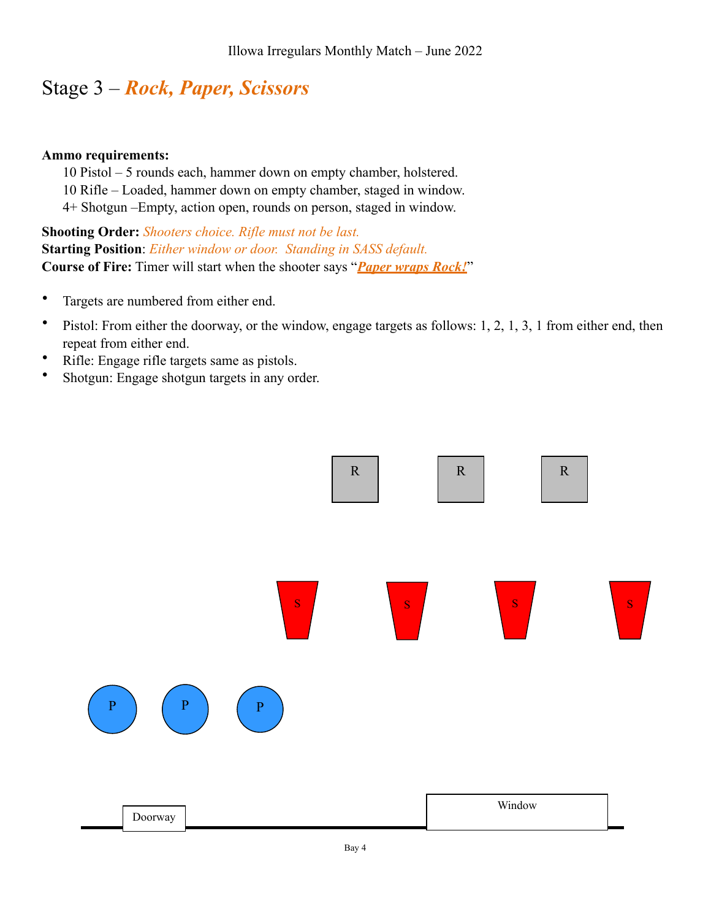# Stage 3 – *Rock, Paper, Scissors*

#### **Ammo requirements:**

10 Pistol – 5 rounds each, hammer down on empty chamber, holstered.

10 Rifle – Loaded, hammer down on empty chamber, staged in window.

4+ Shotgun –Empty, action open, rounds on person, staged in window.

**Shooting Order:** *Shooters choice. Rifle must not be last.* **Starting Position**: *Either window or door. Standing in SASS default.* **Course of Fire:** Timer will start when the shooter says "*Paper wraps Rock!*"

- Targets are numbered from either end.
- Pistol: From either the doorway, or the window, engage targets as follows: 1, 2, 1, 3, 1 from either end, then repeat from either end.
- Rifle: Engage rifle targets same as pistols.
- Shotgun: Engage shotgun targets in any order.

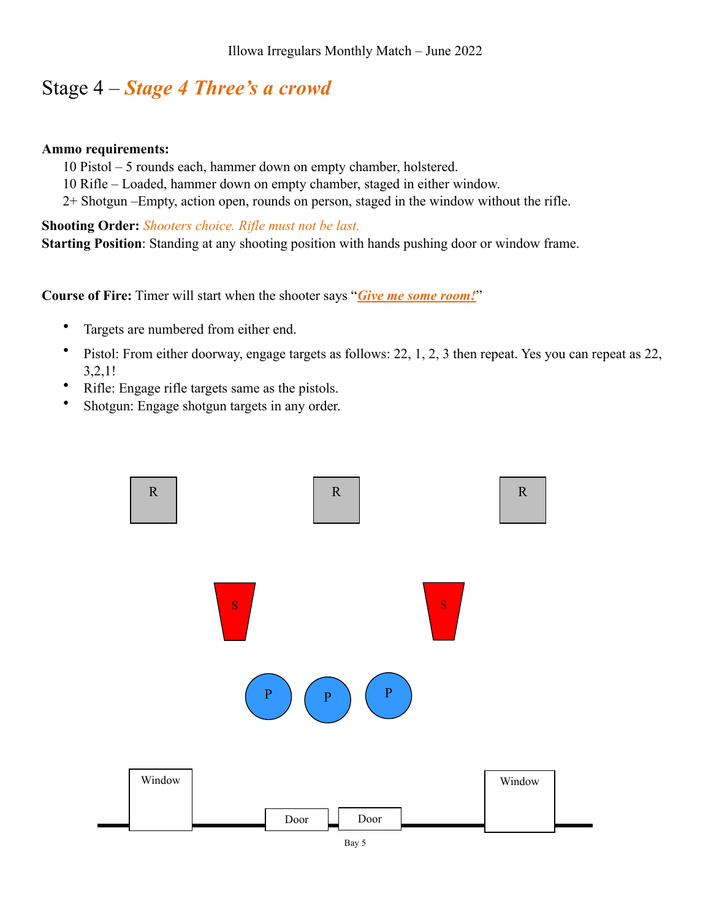### Stage 4 – *Stage 4 Three's a crowd*

#### **Ammo requirements:**

- 10 Pistol 5 rounds each, hammer down on empty chamber, holstered.
- 10 Rifle Loaded, hammer down on empty chamber, staged in either window.
- 2+ Shotgun –Empty, action open, rounds on person, staged in the window without the rifle.

**Shooting Order:** *Shooters choice. Rifle must not be last.* **Starting Position**: Standing at any shooting position with hands pushing door or window frame.

**Course of Fire:** Timer will start when the shooter says "*Give me some room!*"

- Targets are numbered from either end.
- Pistol: From either doorway, engage targets as follows: 22, 1, 2, 3 then repeat. Yes you can repeat as 22, 3,2,1!
- Rifle: Engage rifle targets same as the pistols.
- Shotgun: Engage shotgun targets in any order.

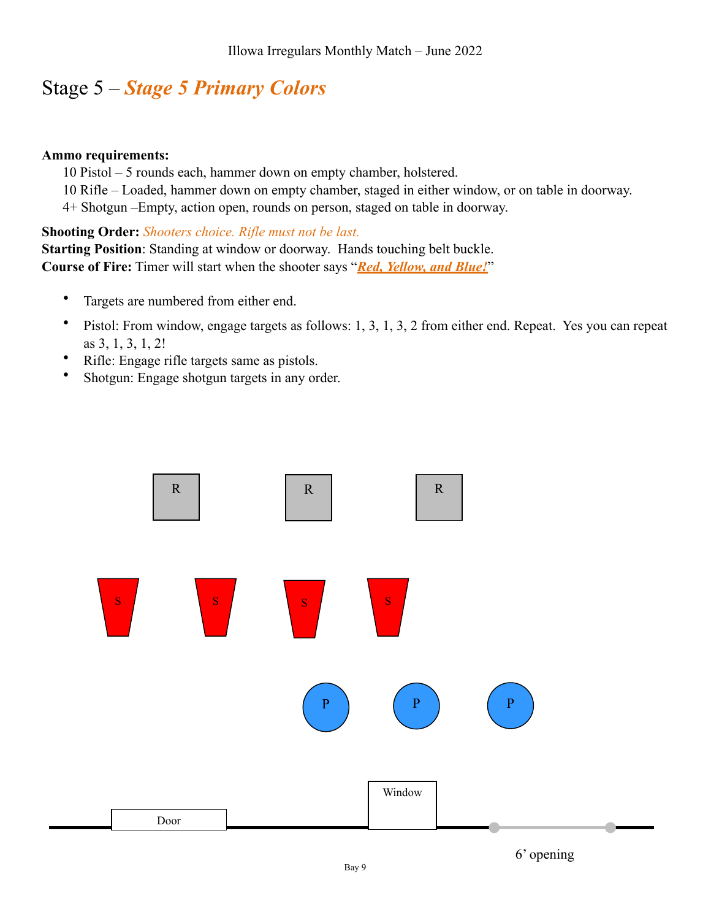# Stage 5 – *Stage 5 Primary Colors*

#### **Ammo requirements:**

10 Pistol – 5 rounds each, hammer down on empty chamber, holstered.

10 Rifle – Loaded, hammer down on empty chamber, staged in either window, or on table in doorway.

4+ Shotgun –Empty, action open, rounds on person, staged on table in doorway.

**Shooting Order:** *Shooters choice. Rifle must not be last.*

**Starting Position**: Standing at window or doorway. Hands touching belt buckle. **Course of Fire:** Timer will start when the shooter says "*Red, Yellow, and Blue!*"

- Targets are numbered from either end.
- Pistol: From window, engage targets as follows: 1, 3, 1, 3, 2 from either end. Repeat. Yes you can repeat as 3, 1, 3, 1, 2!
- Rifle: Engage rifle targets same as pistols.
- Shotgun: Engage shotgun targets in any order.